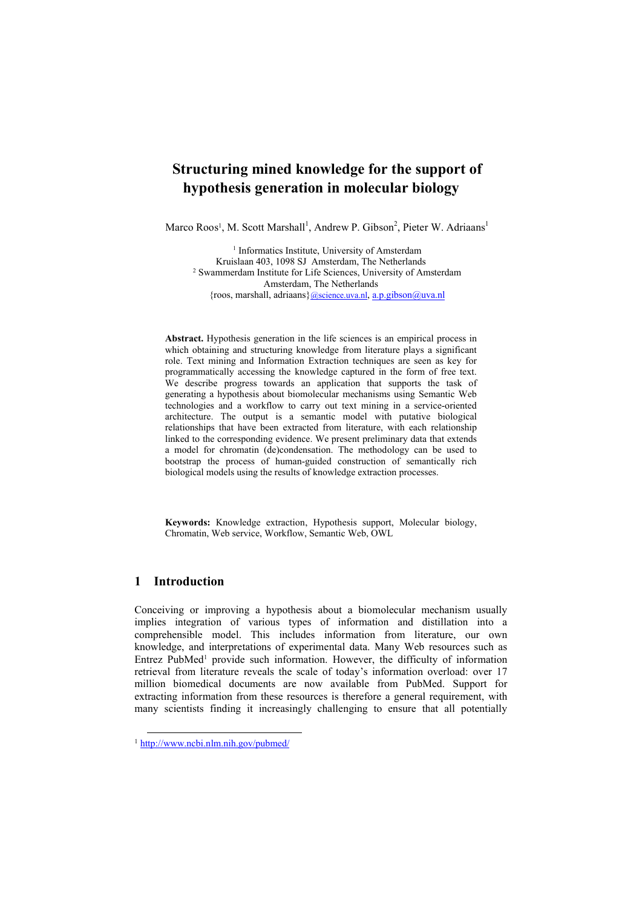# **Structuring mined knowledge for the support of hypothesis generation in molecular biology**

Marco Roos<sup>1</sup>, M. Scott Marshall<sup>1</sup>, Andrew P. Gibson<sup>2</sup>, Pieter W. Adriaans<sup>1</sup>

<sup>1</sup> Informatics Institute, University of Amsterdam Kruislaan 403, 1098 SJ Amsterdam, The Netherlands <sup>2</sup> Swammerdam Institute for Life Sciences, University of Amsterdam Amsterdam, The Netherlands {roos, marshall, adriaans}@science.uva.nl, a.p.gibson@uva.nl

**Abstract.** Hypothesis generation in the life sciences is an empirical process in which obtaining and structuring knowledge from literature plays a significant role. Text mining and Information Extraction techniques are seen as key for programmatically accessing the knowledge captured in the form of free text. We describe progress towards an application that supports the task of generating a hypothesis about biomolecular mechanisms using Semantic Web technologies and a workflow to carry out text mining in a service-oriented architecture. The output is a semantic model with putative biological relationships that have been extracted from literature, with each relationship linked to the corresponding evidence. We present preliminary data that extends a model for chromatin (de)condensation. The methodology can be used to bootstrap the process of human-guided construction of semantically rich biological models using the results of knowledge extraction processes.

**Keywords:** Knowledge extraction, Hypothesis support, Molecular biology, Chromatin, Web service, Workflow, Semantic Web, OWL

# **1 Introduction**

Conceiving or improving a hypothesis about a biomolecular mechanism usually implies integration of various types of information and distillation into a comprehensible model. This includes information from literature, our own knowledge, and interpretations of experimental data. Many Web resources such as Entrez PubMed<sup>1</sup> provide such information. However, the difficulty of information retrieval from literature reveals the scale of today's information overload: over 17 million biomedical documents are now available from PubMed. Support for extracting information from these resources is therefore a general requirement, with many scientists finding it increasingly challenging to ensure that all potentially

 <sup>1</sup> http://www.ncbi.nlm.nih.gov/pubmed/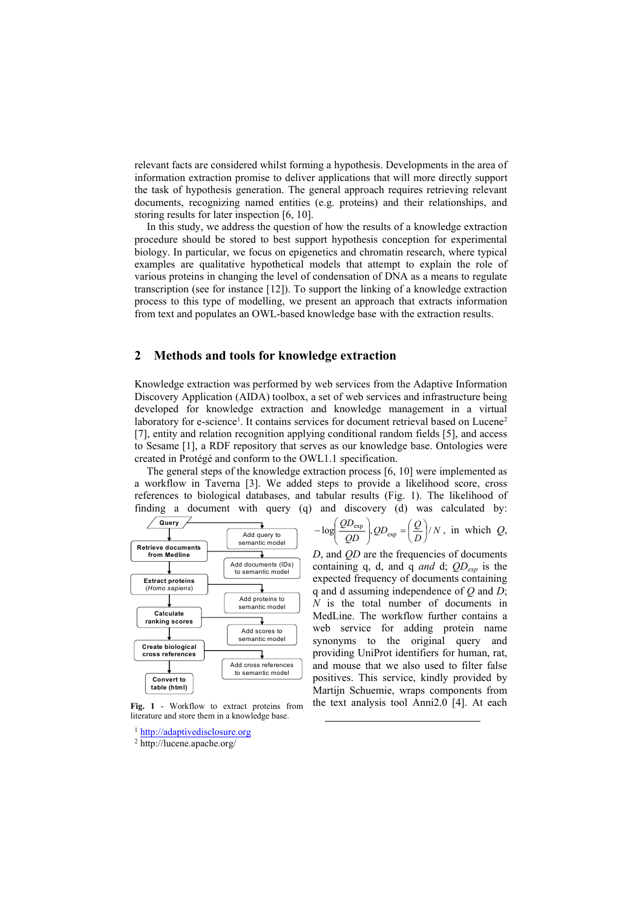relevant facts are considered whilst forming a hypothesis. Developments in the area of information extraction promise to deliver applications that will more directly support the task of hypothesis generation. The general approach requires retrieving relevant documents, recognizing named entities (e.g. proteins) and their relationships, and storing results for later inspection [6, 10].

In this study, we address the question of how the results of a knowledge extraction procedure should be stored to best support hypothesis conception for experimental biology. In particular, we focus on epigenetics and chromatin research, where typical examples are qualitative hypothetical models that attempt to explain the role of various proteins in changing the level of condensation of DNA as a means to regulate transcription (see for instance [12]). To support the linking of a knowledge extraction process to this type of modelling, we present an approach that extracts information from text and populates an OWL-based knowledge base with the extraction results.

# **2 Methods and tools for knowledge extraction**

Knowledge extraction was performed by web services from the Adaptive Information Discovery Application (AIDA) toolbox, a set of web services and infrastructure being developed for knowledge extraction and knowledge management in a virtual laboratory for e-science<sup>1</sup>. It contains services for document retrieval based on Lucene<sup>2</sup> [7], entity and relation recognition applying conditional random fields [5], and access to Sesame [1], a RDF repository that serves as our knowledge base. Ontologies were created in Protégé and conform to the OWL1.1 specification.

The general steps of the knowledge extraction process [6, 10] were implemented as a workflow in Taverna [3]. We added steps to provide a likelihood score, cross references to biological databases, and tabular results (Fig. 1). The likelihood of finding a document with query (q) and discovery (d) was calculated by:



**Fig. 1** - Workflow to extract proteins from literature and store them in a knowledge base.

1 http://adaptivedisclosure.org

$$
-\log\left(\frac{QD_{\text{exp}}}{QD}\right), QD_{\text{exp}} = \left(\frac{Q}{D}\right)/N, \text{ in which } Q,
$$

*D*, and *QD* are the frequencies of documents containing q, d, and q *and* d; *QDexp* is the expected frequency of documents containing q and d assuming independence of *Q* and *D*; *N* is the total number of documents in MedLine. The workflow further contains a web service for adding protein name synonyms to the original query and providing UniProt identifiers for human, rat, and mouse that we also used to filter false positives. This service, kindly provided by Martijn Schuemie, wraps components from the text analysis tool Anni2.0 [4]. At each

<sup>2</sup> http://lucene.apache.org/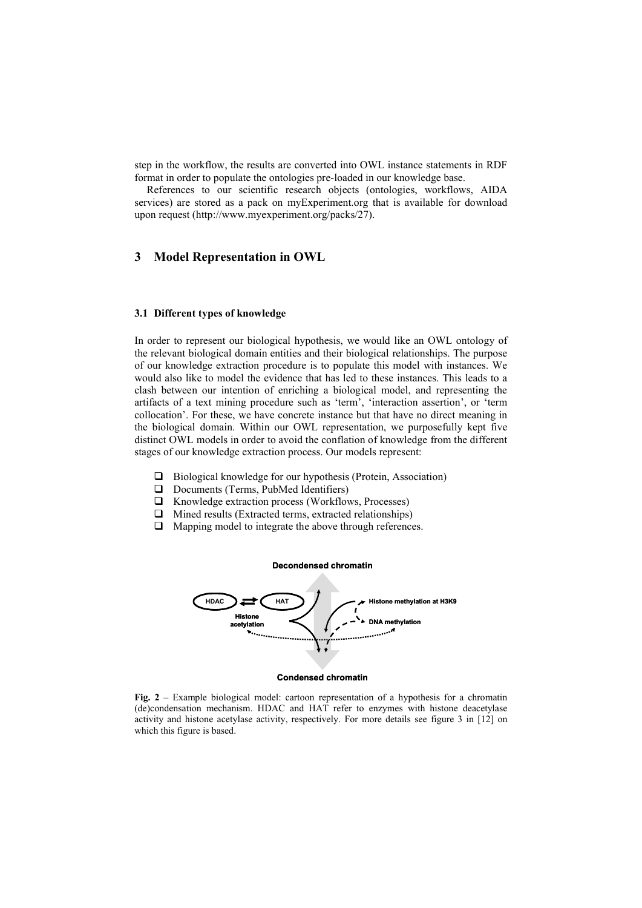step in the workflow, the results are converted into OWL instance statements in RDF format in order to populate the ontologies pre-loaded in our knowledge base.

References to our scientific research objects (ontologies, workflows, AIDA services) are stored as a pack on myExperiment.org that is available for download upon request (http://www.myexperiment.org/packs/27).

# **3 Model Representation in OWL**

#### **3.1 Different types of knowledge**

In order to represent our biological hypothesis, we would like an OWL ontology of the relevant biological domain entities and their biological relationships. The purpose of our knowledge extraction procedure is to populate this model with instances. We would also like to model the evidence that has led to these instances. This leads to a clash between our intention of enriching a biological model, and representing the artifacts of a text mining procedure such as 'term', 'interaction assertion', or 'term collocation'. For these, we have concrete instance but that have no direct meaning in the biological domain. Within our OWL representation, we purposefully kept five distinct OWL models in order to avoid the conflation of knowledge from the different stages of our knowledge extraction process. Our models represent:

- $\Box$  Biological knowledge for our hypothesis (Protein, Association)
- D Documents (Terms, PubMed Identifiers)
- $\Box$  Knowledge extraction process (Workflows, Processes)
- $\Box$  Mined results (Extracted terms, extracted relationships)
- $\Box$  Mapping model to integrate the above through references.



**Condensed chromatin**

**Fig. 2** – Example biological model: cartoon representation of a hypothesis for a chromatin (de)condensation mechanism. HDAC and HAT refer to enzymes with histone deacetylase activity and histone acetylase activity, respectively. For more details see figure 3 in [12] on which this figure is based.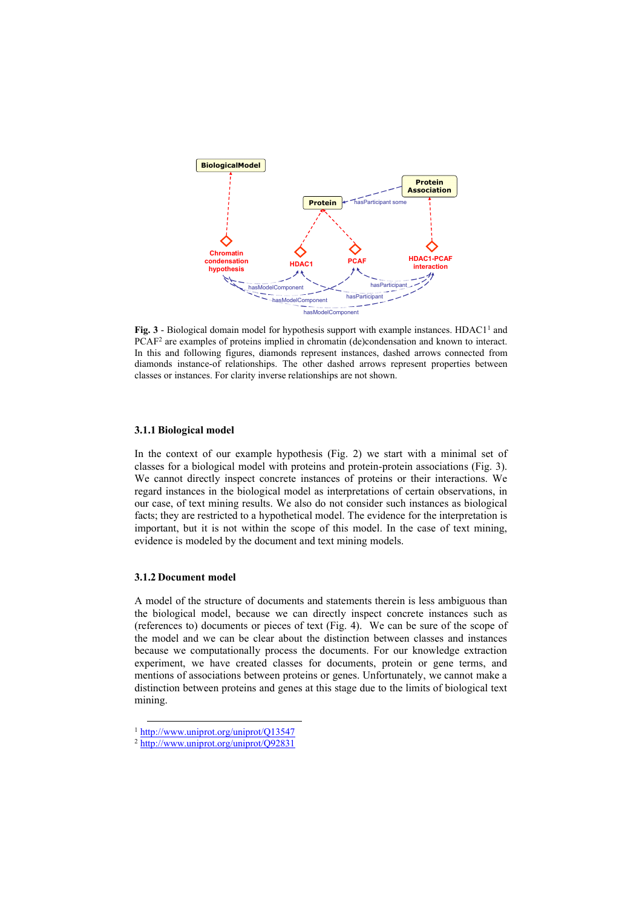

**Fig. 3** - Biological domain model for hypothesis support with example instances. HDAC1<sup>1</sup> and PCAF<sup>2</sup> are examples of proteins implied in chromatin (de)condensation and known to interact. In this and following figures, diamonds represent instances, dashed arrows connected from diamonds instance-of relationships. The other dashed arrows represent properties between classes or instances. For clarity inverse relationships are not shown.

# **3.1.1 Biological model**

In the context of our example hypothesis (Fig. 2) we start with a minimal set of classes for a biological model with proteins and protein-protein associations (Fig. 3). We cannot directly inspect concrete instances of proteins or their interactions. We regard instances in the biological model as interpretations of certain observations, in our case, of text mining results. We also do not consider such instances as biological facts; they are restricted to a hypothetical model. The evidence for the interpretation is important, but it is not within the scope of this model. In the case of text mining, evidence is modeled by the document and text mining models.

#### **3.1.2 Document model**

A model of the structure of documents and statements therein is less ambiguous than the biological model, because we can directly inspect concrete instances such as (references to) documents or pieces of text (Fig. 4). We can be sure of the scope of the model and we can be clear about the distinction between classes and instances because we computationally process the documents. For our knowledge extraction experiment, we have created classes for documents, protein or gene terms, and mentions of associations between proteins or genes. Unfortunately, we cannot make a distinction between proteins and genes at this stage due to the limits of biological text mining.

 <sup>1</sup> http://www.uniprot.org/uniprot/Q13547

<sup>2</sup> http://www.uniprot.org/uniprot/Q92831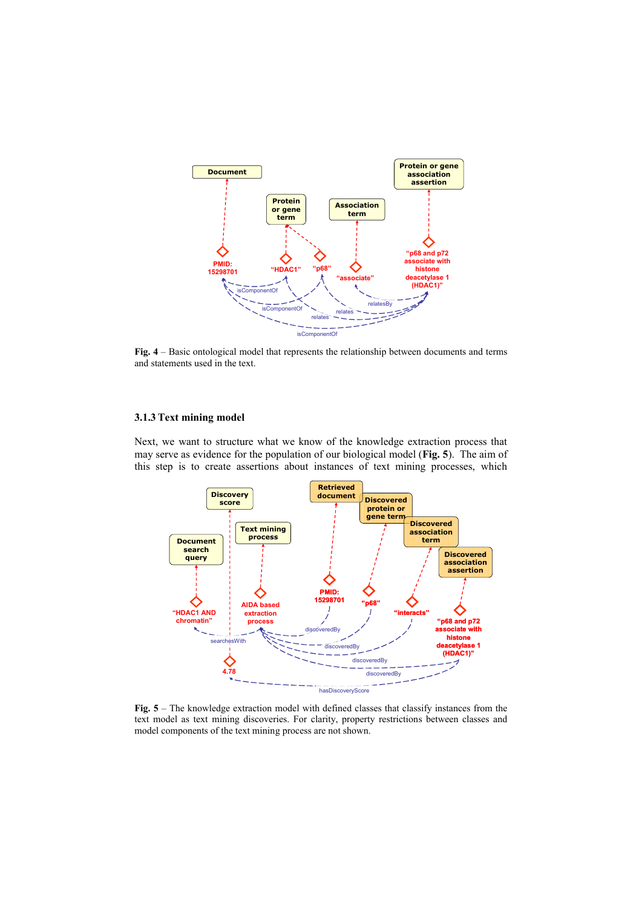

**Fig. 4** – Basic ontological model that represents the relationship between documents and terms and statements used in the text.

#### **3.1.3 Text mining model**

Next, we want to structure what we know of the knowledge extraction process that may serve as evidence for the population of our biological model (**Fig. 5**). The aim of this step is to create assertions about instances of text mining processes, which



**Fig. 5** – The knowledge extraction model with defined classes that classify instances from the text model as text mining discoveries. For clarity, property restrictions between classes and model components of the text mining process are not shown.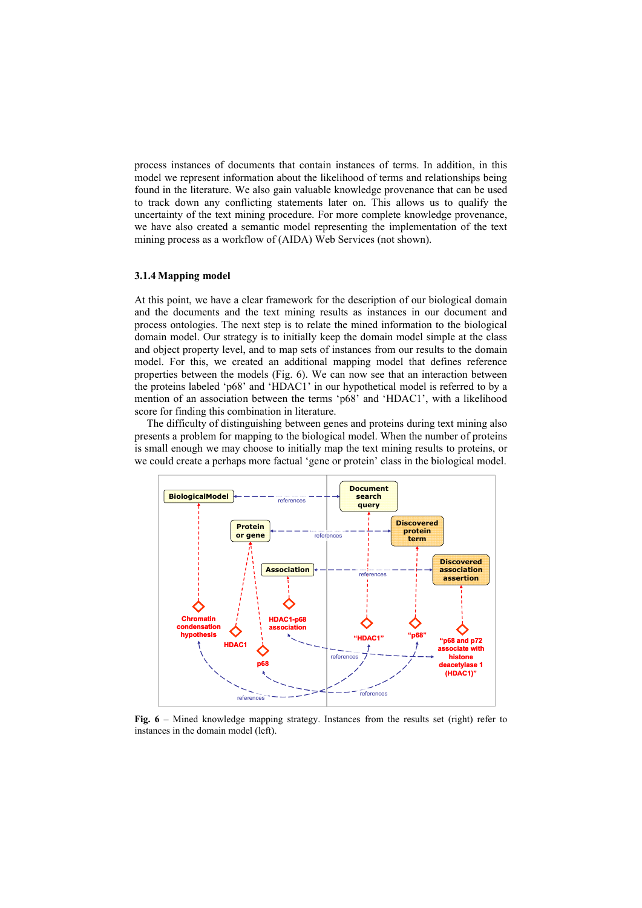process instances of documents that contain instances of terms. In addition, in this model we represent information about the likelihood of terms and relationships being found in the literature. We also gain valuable knowledge provenance that can be used to track down any conflicting statements later on. This allows us to qualify the uncertainty of the text mining procedure. For more complete knowledge provenance, we have also created a semantic model representing the implementation of the text mining process as a workflow of (AIDA) Web Services (not shown).

# **3.1.4 Mapping model**

At this point, we have a clear framework for the description of our biological domain and the documents and the text mining results as instances in our document and process ontologies. The next step is to relate the mined information to the biological domain model. Our strategy is to initially keep the domain model simple at the class and object property level, and to map sets of instances from our results to the domain model. For this, we created an additional mapping model that defines reference properties between the models (Fig. 6). We can now see that an interaction between the proteins labeled 'p68' and 'HDAC1' in our hypothetical model is referred to by a mention of an association between the terms 'p68' and 'HDAC1', with a likelihood score for finding this combination in literature.

The difficulty of distinguishing between genes and proteins during text mining also presents a problem for mapping to the biological model. When the number of proteins is small enough we may choose to initially map the text mining results to proteins, or we could create a perhaps more factual 'gene or protein' class in the biological model.



**Fig. 6** – Mined knowledge mapping strategy. Instances from the results set (right) refer to instances in the domain model (left).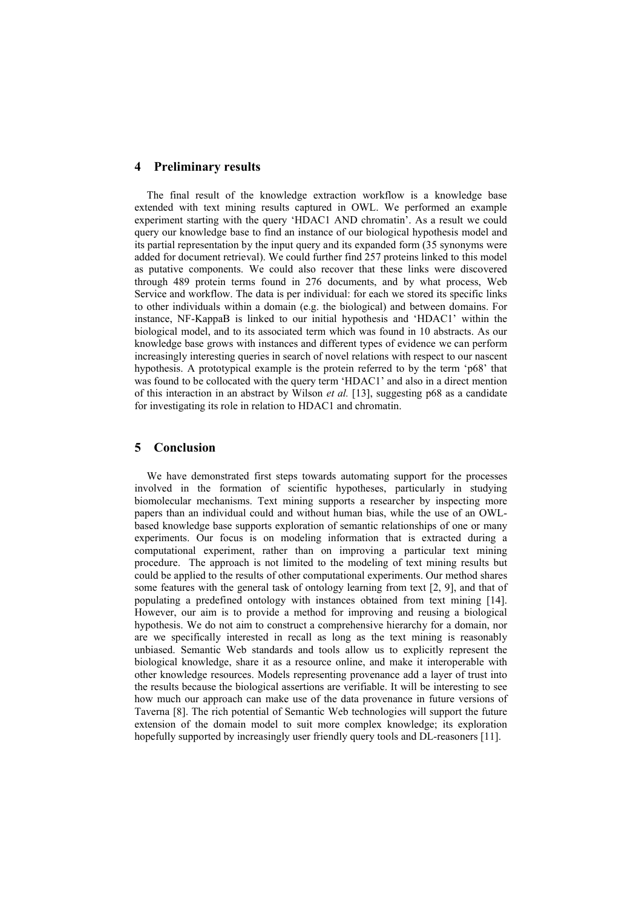# **4 Preliminary results**

The final result of the knowledge extraction workflow is a knowledge base extended with text mining results captured in OWL. We performed an example experiment starting with the query 'HDAC1 AND chromatin'. As a result we could query our knowledge base to find an instance of our biological hypothesis model and its partial representation by the input query and its expanded form (35 synonyms were added for document retrieval). We could further find 257 proteins linked to this model as putative components. We could also recover that these links were discovered through 489 protein terms found in 276 documents, and by what process, Web Service and workflow. The data is per individual: for each we stored its specific links to other individuals within a domain (e.g. the biological) and between domains. For instance, NF-KappaB is linked to our initial hypothesis and 'HDAC1' within the biological model, and to its associated term which was found in 10 abstracts. As our knowledge base grows with instances and different types of evidence we can perform increasingly interesting queries in search of novel relations with respect to our nascent hypothesis. A prototypical example is the protein referred to by the term 'p68' that was found to be collocated with the query term 'HDAC1' and also in a direct mention of this interaction in an abstract by Wilson *et al.* [13], suggesting p68 as a candidate for investigating its role in relation to HDAC1 and chromatin.

# **5 Conclusion**

We have demonstrated first steps towards automating support for the processes involved in the formation of scientific hypotheses, particularly in studying biomolecular mechanisms. Text mining supports a researcher by inspecting more papers than an individual could and without human bias, while the use of an OWLbased knowledge base supports exploration of semantic relationships of one or many experiments. Our focus is on modeling information that is extracted during a computational experiment, rather than on improving a particular text mining procedure. The approach is not limited to the modeling of text mining results but could be applied to the results of other computational experiments. Our method shares some features with the general task of ontology learning from text [2, 9], and that of populating a predefined ontology with instances obtained from text mining [14]. However, our aim is to provide a method for improving and reusing a biological hypothesis. We do not aim to construct a comprehensive hierarchy for a domain, nor are we specifically interested in recall as long as the text mining is reasonably unbiased. Semantic Web standards and tools allow us to explicitly represent the biological knowledge, share it as a resource online, and make it interoperable with other knowledge resources. Models representing provenance add a layer of trust into the results because the biological assertions are verifiable. It will be interesting to see how much our approach can make use of the data provenance in future versions of Taverna [8]. The rich potential of Semantic Web technologies will support the future extension of the domain model to suit more complex knowledge; its exploration hopefully supported by increasingly user friendly query tools and DL-reasoners [11].